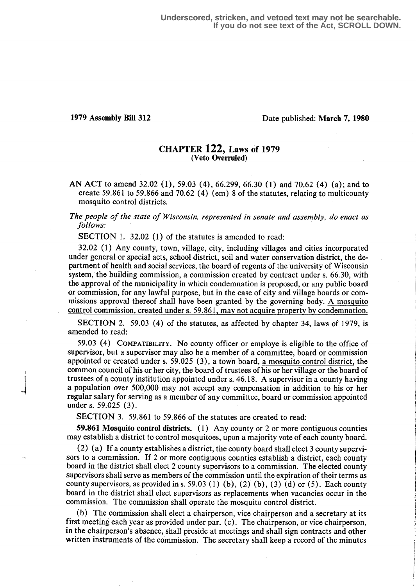III

# 1979 Assembly Bill 312 Date published: March 7, 1980

## CHAPTER 122, Laws of 1979 (Veto Overruled)

AN ACT to amend 32.02 (1), 59.03 (4), 66.299, 66.30 (1) and 70.62 (4) (a); and to create 59.861 to 59.866 and 70.62 (4) (em) 8 of the statutes, relating to multicounty mosquito control districts.

The people of the state of Wisconsin, represented in senate and assembly, do enact as follows:

SECTION 1. 32.02 (1) of the statutes is amended to read:

32.02 (1) Any county, town, village, city, including villages and cities incorporated under general or special acts, school district, soil and water conservation district, the department of health and social services, the board of regents of the university of Wisconsin system, the building commission, a commission created by contract under s. 66.30, with the approval of the municipality in which condemnation is proposed, or any public board or commission, for any lawful purpose, but in the case of city and village boards or commissions approval thereof shall have been granted by the governing body. A mosquito control commission, created under s. 59 .861, may not acquire property by condemnation .

SECTION 2. 59.03 (4) of the statutes, as affected by chapter 34, laws of 1979, is amended to read:

59.03 (4) COMPATIBILITY. No county officer or employe is eligible to the office of supervisor, but a supervisor may also be a member of a committee, board or commission appointed or created under s. 59.025 (3), a town board, a mosquito control district, the common council of his or her city, the board of trustees of his or her village or the board of trustees of a county institution appointed under s. 46.18. A supervisor in a county having a population over 500,000 may not accept any compensation in addition to his or her regular salary for serving as a member of any committee, board or commission appointed under s. 59.025 (3).

SECTION 3. 59.861 to 59.866 of the statutes are created to read:

59.861 Mosquito control districts. (1) Any county or 2 or more contiguous counties may establish a district to control mosquitoes, upon a majority vote of each county board.

(2) (a) If a county establishes a district, the county board shall elect 3 county supervisors to a commission. If 2 or more contiguous counties establish a district, each county board in the district shall elect 2 county supervisors to a commission . The elected county supervisors shall serve as members of the commission until the expiration of their terms as county supervisors, as provided in s. 59.03 (1) (b), (2) (b), (3) (d) or (5). Each county board in the district shall elect supervisors as replacements when vacancies occur in the commission . The commission shall operate the mosquito control district .

(b) The commission shall elect a chairperson, vice chairperson and a secretary at its first meeting each year as provided under par. (c) . The chairperson, or vice chairperson, in the chairperson's absence, shall preside at meetings and shall sign contracts and other written instruments of the commission. The secretary shall keep a record of the minutes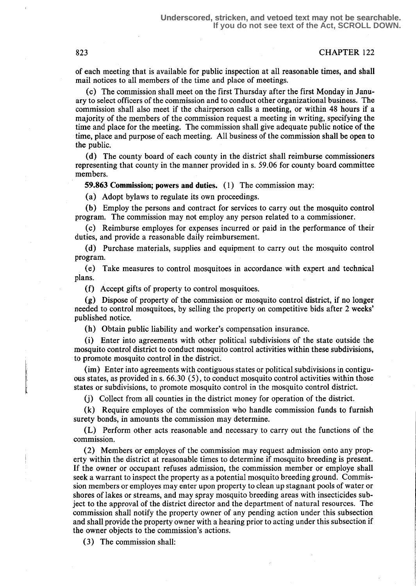### 823 CHAPTER 122

of each meeting that is available for public inspection at all reasonable times, and shall mail notices to all members of the time and place of meetings.

(c) The commission shall meet on the first Thursday after the first Monday in January to select officers of the commission and to conduct other organizational business. The commission shall also meet if the chairperson calls a meeting, or within 48 hours if a majority of the members of the commission request a meeting in writing, specifying the time and place for the meeting. The commission shall give adequate public notice of the time, place and purpose of each meeting. All business of the commission shall be open to the public.

(d) The county board of each county in the district shall reimburse commissioners representing that county in the manner provided in s. 59.06 for county board committee members.

59.863 Commission; powers and duties. (1) The commission may:

(a) Adopt bylaws to regulate its own proceedings.

(b) Employ the persons and contract for services to carry out the mosquito control program. The commission may not employ any person related to a commissioner .

(c) Reimburse employes for expenses incurred or paid in the performance of their duties, and provide a reasonable daily reimbursement.

(d) Purchase materials, supplies and equipment to carry out the mosquito control program.

(e) Take measures to control mosquitoes in accordance with expert and technical plans.

(f) Accept gifts of property to control mosquitoes.

(g) Dispose of property of the commission or mosquito control district, if no longer needed to control mosquitoes, by selling the property on competitive bids after 2 weeks' published notice.

(h) Obtain public liability and worker's compensation insurance.

(i) Enter into agreements with other political subdivisions of the state outside the mosquito control district to conduct mosquito control activities within these subdivisions, to promote mosquito control in the district.

(im) Enter into agreements with contiguous states or political subdivisions in contiguous states, as provided in s.  $66.30(5)$ , to conduct mosquito control activities within those states or subdivisions, to promote mosquito control in the mosquito control district.

(j) Collect from all counties in the district money for operation of the district .

(k) Require employes of the commission who handle commission funds to furnish surety bonds, in amounts the commission may determine.

(L) Perform other acts reasonable and necessary to carry out the functions of the commission .

(2) Members or employes of the commission may request admission onto any property within the district at reasonable times to determine if mosquito breeding is present. If the owner or occupant refuses admission, the commission member or employe shall seek a warrant to inspect the property as a potential mosquito breeding ground. Commission members or employes may enter upon property to clean up stagnant pools of water or shores of lakes or streams, and may spray mosquito breeding areas with insecticides subject to the approval of the district director and the department of natural resources. The commission shall notify the property owner of any pending action under this subsection and shall provide the property owner with a hearing prior to acting under this subsection if the owner objects to the commission's actions.

(3) The commission shall: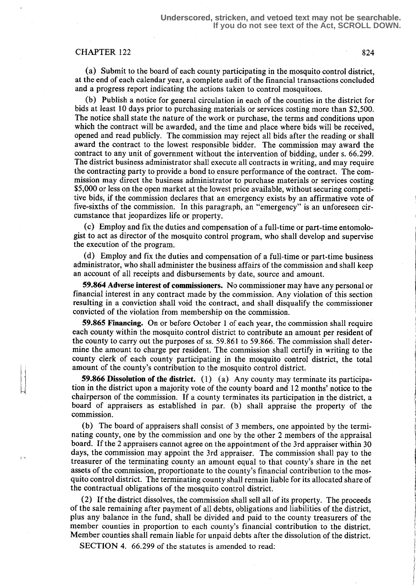## CHAPTER 122 824

 $\mathbf{r}$ 

(a) Submit to the board of each county participating in the mosquito control district, at the end of each calendar year, a complete audit of the financial transactions concluded and a progress report indicating the actions taken to control mosquitoes.

(b) Publish a notice for general circulation in each of the counties in the district for bids at least 10 days prior to purchasing materials or services costing more than \$2,500 . The notice shall state the nature of the work or purchase, the terms and conditions upon which the contract will be awarded, and the time and place where bids will be received, opened and read publicly. The commission may reject all bids after the reading or shall award the contract to the lowest responsible bidder. The commission may award the contract to any unit of government without the intervention of bidding, under s. 66.299 . The district business administrator shall execute all contracts in writing, and may require the contracting party to provide a bond to ensure performance of the contract . The commission may direct the business administrator to purchase materials or services costing \$5,000 or less on the open market at the lowest price available, without securing competitive bids, if the commission declares that an emergency exists by an affirmative vote of five-sixths of the commission. In this paragraph, an "emergency" is an unforeseen circumstance that jeopardizes life or property.

(c) Employ and fix the duties and compensation of a full-time or part-time entomologist to act as director of the mosquito control program, who shall develop and supervise the execution of the program.

(d) Employ and fix the duties and compensation of a full-time or part-time business administrator, who shall administer the business affairs of the commission and shall keep an account of all receipts and disbursements by date, source and amount.

59.864 Adverse interest of commissioners. No commissioner may have any personal or financial interest in any contract made by the commission . Any violation of this section resulting in a conviction shall void the contract, and shall disqualify the commissioner convicted of the violation from membership on the commission .

59.865 Financing. On or before October 1 of each year, the commission shall require each county within the mosquito control district to contribute an amount per resident of the county to carry out the purposes of ss . 59 .861 to 59.866. The commission shall determine the amount to charge per resident. The commission shall certify in writing to the county clerk of each county participating in the mosquito control district, the total amount of the county's contribution to the mosquito control district.

**59.866 Dissolution of the district.** (1) (a) Any county may terminate its participation in the district upon a majority vote of the county board and 12 months' notice to the chairperson of the commission . If a county terminates its participation in the district, a board of appraisers as established in par. (b) shall appraise the property of the commission .

(b) The board of appraisers shall consist of 3 members, one appointed by the terminating county, one by the commission and one by the other 2 members of the appraisal board. If the 2 appraisers cannot agree on the appointment of the 3rd appraiser within 30 days, the commission may appoint the 3rd appraiser. The commission shall pay to the treasurer of the terminating county an amount equal to that county's share in the net assets of the commission, proportionate to the county's financial contribution to the mosquito control district. The terminating county shall remain liable for its allocated share of the contractual obligations of the mosquito control district .

(2) If the district dissolves, the commission shall sell all of its property. The proceeds of the sale remaining after payment of all debts, obligations and liabilities of the district, plus any balance in the fund, shall be divided and paid to the county treasurers of the member counties in proportion to each county's financial contribution to the district. Member counties shall remain liable for unpaid debts after the dissolution of the district.

SECTION 4. 66.299 of the statutes is amended to read: